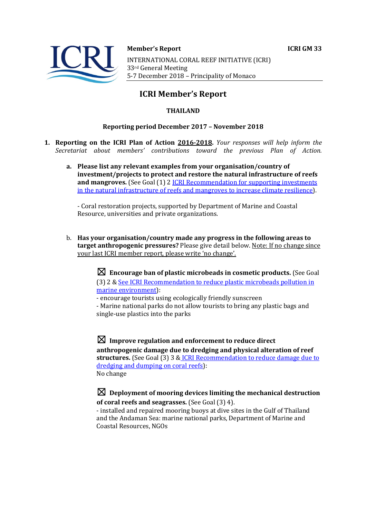

#### **Member's Report ICRI GM 33**

INTERNATIONAL CORAL REEF INITIATIVE (ICRI) 33rd General Meeting 5-7 December 2018 - Principality of Monaco

# **ICRI Member's Report**

### **THAILAND**

#### **Reporting period December 2017 - November 2018**

- **1. Reporting on the ICRI Plan of Action 2016-2018.** *Your responses will help inform the Secretariat about members' contributions toward the previous Plan of Action.*
	- a. Please list any relevant examples from your organisation/country of **investment/projects to protect and restore the natural infrastructure of reefs and mangroves.** (See Goal (1) 2 *ICRI Recommendation for supporting investments* in the natural infrastructure of reefs and mangroves to increase climate resilience).

- Coral restoration projects, supported by Department of Marine and Coastal Resource, universities and private organizations.

b. Has your organisation/country made any progress in the following areas to **target anthropogenic pressures?** Please give detail below. Note: If no change since your last ICRI member report, please write 'no change'.

> $\boxtimes$  Encourage ban of plastic microbeads in cosmetic products. (See Goal (3) 2 & See ICRI Recommendation to reduce plastic microbeads pollution in marine environment):

- encourage tourists using ecologically friendly sunscreen

- Marine national parks do not allow tourists to bring any plastic bags and single-use plastics into the parks

 $\boxtimes$  Improve regulation and enforcement to reduce direct anthropogenic damage due to dredging and physical alteration of reef structures. (See Goal (3) 3 & ICRI Recommendation to reduce damage due to dredging and dumping on coral reefs): No change

## $\boxtimes$  Deployment of mooring devices limiting the mechanical destruction **of coral reefs and seagrasses.** (See Goal (3) 4).

- installed and repaired mooring buoys at dive sites in the Gulf of Thailand and the Andaman Sea: marine national parks, Department of Marine and Coastal Resources, NGOs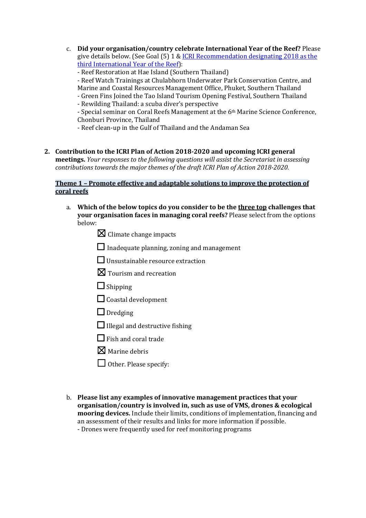c. **Did your organisation/country celebrate International Year of the Reef?** Please give details below. (See Goal  $(5)$  1 & ICRI Recommendation designating 2018 as the third International Year of the Reef):

- Reef Restoration at Hae Island (Southern Thailand)

- Reef Watch Trainings at Chulabhorn Underwater Park Conservation Centre, and

Marine and Coastal Resources Management Office, Phuket, Southern Thailand

- Green Fins Joined the Tao Island Tourism Opening Festival, Southern Thailand
- Rewilding Thailand: a scuba diver's perspective

- Special seminar on Coral Reefs Management at the 6<sup>th</sup> Marine Science Conference, Chonburi Province, Thailand

- Reef clean-up in the Gulf of Thailand and the Andaman Sea

2. Contribution to the ICRI Plan of Action 2018-2020 and upcoming ICRI general **meetings.** *Your responses to the following questions will assist the Secretariat in assessing contributions towards the major themes of the draft ICRI Plan of Action 2018-2020.* 

## **Theme 1 - Promote effective and adaptable solutions to improve the protection of coral reefs**

a. Which of the below topics do you consider to be the three top challenges that **your organisation faces in managing coral reefs?** Please select from the options below:

 $\boxtimes$  Climate change impacts

 $\Box$  Inadequate planning, zoning and management

 $\Box$  Unsustainable resource extraction

- $\boxtimes$  Tourism and recreation
- □ Shipping

 $\Box$  Coastal development

□ Dredging

 $\Box$  Illegal and destructive fishing

 $\Box$  Fish and coral trade

 $\nabla$  Marine debris

 $\Box$  Other. Please specify:

b. Please list any examples of innovative management practices that your **organisation/country is involved in, such as use of VMS, drones & ecological mooring devices.** Include their limits, conditions of implementation, financing and an assessment of their results and links for more information if possible. - Drones were frequently used for reef monitoring programs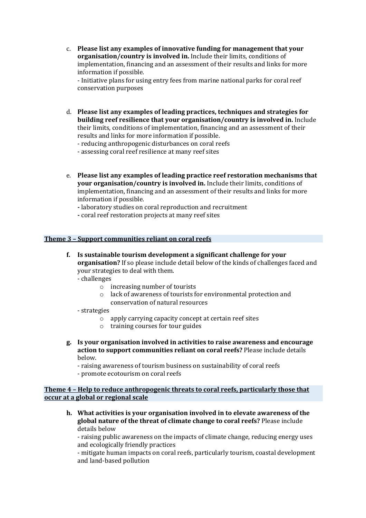c. Please list any examples of innovative funding for management that your **organisation/country is involved in.** Include their limits, conditions of implementation, financing and an assessment of their results and links for more information if possible.

- Initiative plans for using entry fees from marine national parks for coral reef conservation purposes 

- d. Please list any examples of leading practices, techniques and strategies for **building reef resilience that your organisation/country is involved in.** Include their limits, conditions of implementation, financing and an assessment of their results and links for more information if possible.
	- reducing anthropogenic disturbances on coral reefs

- assessing coral reef resilience at many reef sites

e. Please list any examples of leading practice reef restoration mechanisms that **your organisation/country is involved in.** Include their limits, conditions of implementation, financing and an assessment of their results and links for more information if possible.

**-** laboratory studies on coral reproduction and recruitment

**-** coral reef restoration projects at many reef sites

#### **Theme 3 - Support communities reliant on coral reefs**

# **f.** Is sustainable tourism development a significant challenge for your **organisation?** If so please include detail below of the kinds of challenges faced and your strategies to deal with them.

- challenges 

- $\circ$  increasing number of tourists
- $\circ$  lack of awareness of tourists for environmental protection and conservation of natural resources
- strategies
	- $\circ$  apply carrying capacity concept at certain reef sites
	- $\circ$  training courses for tour guides
- **g. Is your organisation involved in activities to raise awareness and encourage action to support communities reliant on coral reefs?** Please include details below.
	- raising awareness of tourism business on sustainability of coral reefs
	- promote ecotourism on coral reefs

**Theme 4 - Help to reduce anthropogenic threats to coral reefs, particularly those that occur at a global or regional scale** 

**h.** What activities is your organisation involved in to elevate awareness of the **global nature of the threat of climate change to coral reefs?** Please include details below

- raising public awareness on the impacts of climate change, reducing energy uses and ecologically friendly practices

- mitigate human impacts on coral reefs, particularly tourism, coastal development and land-based pollution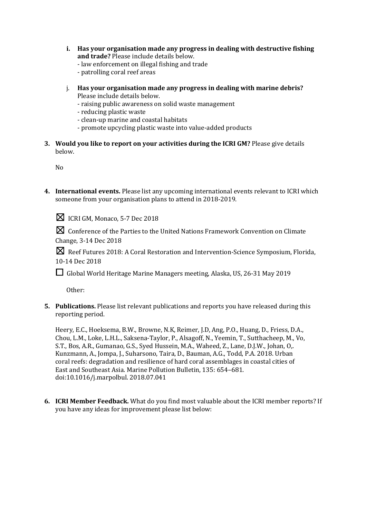- **i.** Has your organisation made any progress in dealing with destructive fishing and trade? Please include details below.
	- law enforcement on illegal fishing and trade
	- patrolling coral reef areas
- j. Has your organisation made any progress in dealing with marine debris? Please include details below.
	- raising public awareness on solid waste management
	- reducing plastic waste
	- clean-up marine and coastal habitats
	- promote upcycling plastic waste into value-added products
- **3.** Would you like to report on your activities during the ICRI GM? Please give details below.

No

**4.** International events. Please list any upcoming international events relevant to ICRI which someone from your organisation plans to attend in 2018-2019.

 $\boxtimes$  ICRI GM, Monaco, 5-7 Dec 2018

☒Conference of the Parties to the United Nations Framework Convention on Climate Change, 3-14 Dec 2018

**X** Reef Futures 2018: A Coral Restoration and Intervention-Science Symposium, Florida, 10-14 Dec 2018

□ Global World Heritage Marine Managers meeting, Alaska, US, 26-31 May 2019

Other: 

**5.** Publications. Please list relevant publications and reports you have released during this reporting period.

Heery, E.C., Hoeksema, B.W., Browne, N.K, Reimer, J.D, Ang, P.O., Huang, D., Friess, D.A., Chou, L.M., Loke, L.H.L., Saksena-Taylor, P., Alsagoff, N., Yeemin, T., Sutthacheep, M., Vo, S.T., Bos, A.R., Gumanao, G.S., Syed Hussein, M.A., Waheed, Z., Lane, D.J.W., Johan, O,. Kunzmann, A., Jompa, J., Suharsono, Taira, D., Bauman, A.G., Todd, P.A. 2018. Urban coral reefs: degradation and resilience of hard coral assemblages in coastal cities of East and Southeast Asia. Marine Pollution Bulletin, 135: 654-681. doi:10.1016/j.marpolbul. 2018.07.041

**6. ICRI Member Feedback.** What do you find most valuable about the ICRI member reports? If you have any ideas for improvement please list below: